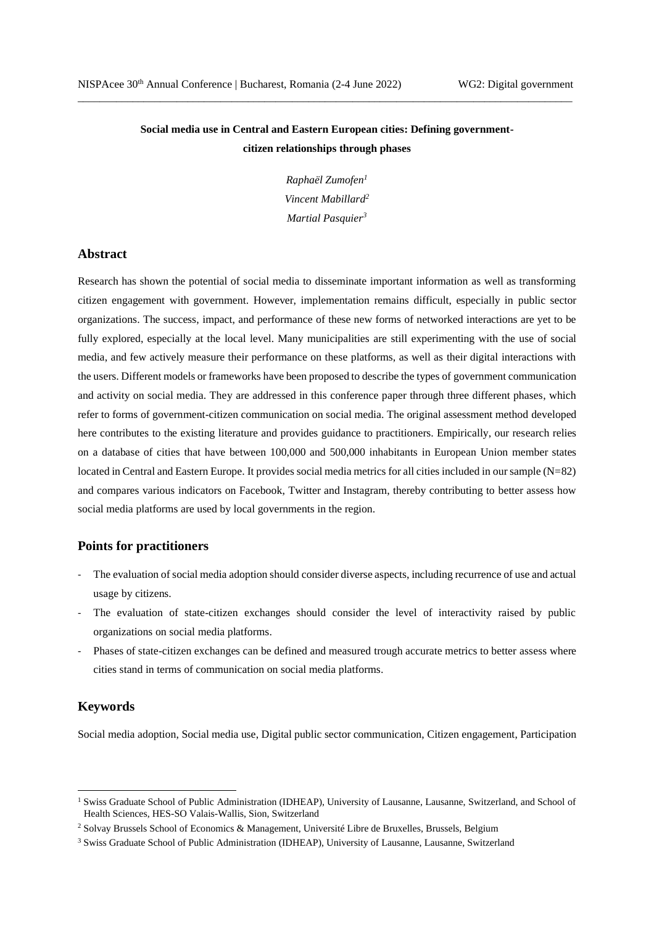# **Social media use in Central and Eastern European cities: Defining governmentcitizen relationships through phases**

\_\_\_\_\_\_\_\_\_\_\_\_\_\_\_\_\_\_\_\_\_\_\_\_\_\_\_\_\_\_\_\_\_\_\_\_\_\_\_\_\_\_\_\_\_\_\_\_\_\_\_\_\_\_\_\_\_\_\_\_\_\_\_\_\_\_\_\_\_\_\_\_\_\_\_\_\_\_\_\_\_\_\_\_\_\_\_\_\_\_

*Raphaël Zumofen<sup>1</sup> Vincent Mabillard<sup>2</sup> Martial Pasquier<sup>3</sup>*

# **Abstract**

Research has shown the potential of social media to disseminate important information as well as transforming citizen engagement with government. However, implementation remains difficult, especially in public sector organizations. The success, impact, and performance of these new forms of networked interactions are yet to be fully explored, especially at the local level. Many municipalities are still experimenting with the use of social media, and few actively measure their performance on these platforms, as well as their digital interactions with the users. Different models or frameworks have been proposed to describe the types of government communication and activity on social media. They are addressed in this conference paper through three different phases, which refer to forms of government-citizen communication on social media. The original assessment method developed here contributes to the existing literature and provides guidance to practitioners. Empirically, our research relies on a database of cities that have between 100,000 and 500,000 inhabitants in European Union member states located in Central and Eastern Europe. It provides social media metrics for all cities included in our sample (N=82) and compares various indicators on Facebook, Twitter and Instagram, thereby contributing to better assess how social media platforms are used by local governments in the region.

# **Points for practitioners**

- The evaluation of social media adoption should consider diverse aspects, including recurrence of use and actual usage by citizens.
- The evaluation of state-citizen exchanges should consider the level of interactivity raised by public organizations on social media platforms.
- Phases of state-citizen exchanges can be defined and measured trough accurate metrics to better assess where cities stand in terms of communication on social media platforms.

# **Keywords**

Social media adoption, Social media use, Digital public sector communication, Citizen engagement, Participation

<sup>&</sup>lt;sup>1</sup> Swiss Graduate School of Public Administration (IDHEAP), University of Lausanne, Lausanne, Switzerland, and School of Health Sciences, HES-SO Valais-Wallis, Sion, Switzerland

<sup>2</sup> Solvay Brussels School of Economics & Management, Université Libre de Bruxelles, Brussels, Belgium

<sup>3</sup> Swiss Graduate School of Public Administration (IDHEAP), University of Lausanne, Lausanne, Switzerland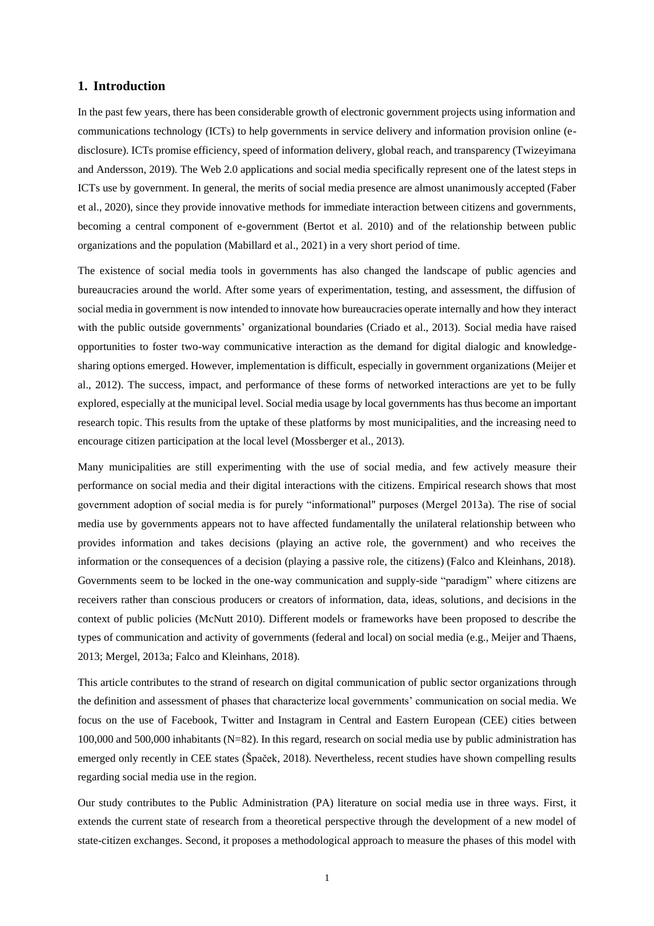## **1. Introduction**

In the past few years, there has been considerable growth of electronic government projects using information and communications technology (ICTs) to help governments in service delivery and information provision online (edisclosure). ICTs promise efficiency, speed of information delivery, global reach, and transparency (Twizeyimana and Andersson, 2019). The Web 2.0 applications and social media specifically represent one of the latest steps in ICTs use by government. In general, the merits of social media presence are almost unanimously accepted (Faber et al., 2020), since they provide innovative methods for immediate interaction between citizens and governments, becoming a central component of e-government (Bertot et al. 2010) and of the relationship between public organizations and the population (Mabillard et al., 2021) in a very short period of time.

The existence of social media tools in governments has also changed the landscape of public agencies and bureaucracies around the world. After some years of experimentation, testing, and assessment, the diffusion of social media in government is now intended to innovate how bureaucracies operate internally and how they interact with the public outside governments' organizational boundaries (Criado et al., 2013). Social media have raised opportunities to foster two-way communicative interaction as the demand for digital dialogic and knowledgesharing options emerged. However, implementation is difficult, especially in government organizations (Meijer et al., 2012). The success, impact, and performance of these forms of networked interactions are yet to be fully explored, especially at the municipal level. Social media usage by local governments has thus become an important research topic. This results from the uptake of these platforms by most municipalities, and the increasing need to encourage citizen participation at the local level (Mossberger et al., 2013).

Many municipalities are still experimenting with the use of social media, and few actively measure their performance on social media and their digital interactions with the citizens. Empirical research shows that most government adoption of social media is for purely "informational" purposes (Mergel 2013a). The rise of social media use by governments appears not to have affected fundamentally the unilateral relationship between who provides information and takes decisions (playing an active role, the government) and who receives the information or the consequences of a decision (playing a passive role, the citizens) (Falco and Kleinhans, 2018). Governments seem to be locked in the one-way communication and supply-side "paradigm" where citizens are receivers rather than conscious producers or creators of information, data, ideas, solutions, and decisions in the context of public policies (McNutt 2010). Different models or frameworks have been proposed to describe the types of communication and activity of governments (federal and local) on social media (e.g., Meijer and Thaens, 2013; Mergel, 2013a; Falco and Kleinhans, 2018).

This article contributes to the strand of research on digital communication of public sector organizations through the definition and assessment of phases that characterize local governments' communication on social media. We focus on the use of Facebook, Twitter and Instagram in Central and Eastern European (CEE) cities between 100,000 and 500,000 inhabitants (N=82). In this regard, research on social media use by public administration has emerged only recently in CEE states (Špaček, 2018). Nevertheless, recent studies have shown compelling results regarding social media use in the region.

Our study contributes to the Public Administration (PA) literature on social media use in three ways. First, it extends the current state of research from a theoretical perspective through the development of a new model of state-citizen exchanges. Second, it proposes a methodological approach to measure the phases of this model with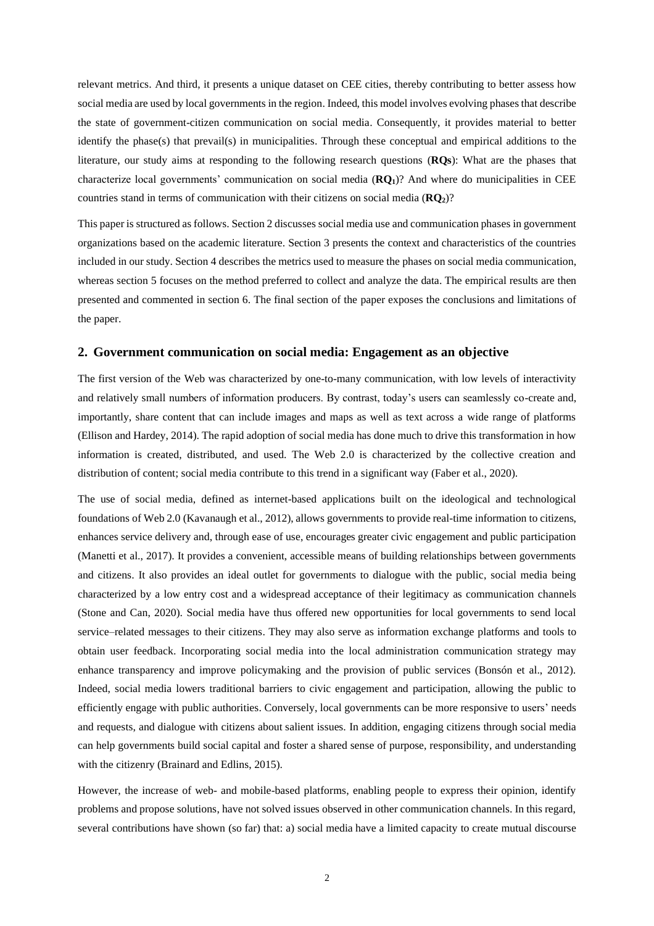relevant metrics. And third, it presents a unique dataset on CEE cities, thereby contributing to better assess how social media are used by local governments in the region. Indeed, this model involves evolving phases that describe the state of government-citizen communication on social media. Consequently, it provides material to better identify the phase(s) that prevail(s) in municipalities. Through these conceptual and empirical additions to the literature, our study aims at responding to the following research questions (**RQs**): What are the phases that characterize local governments' communication on social media (**RQ1**)? And where do municipalities in CEE countries stand in terms of communication with their citizens on social media (**RQ2**)?

This paper is structured as follows. Section 2 discusses social media use and communication phases in government organizations based on the academic literature. Section 3 presents the context and characteristics of the countries included in our study. Section 4 describes the metrics used to measure the phases on social media communication, whereas section 5 focuses on the method preferred to collect and analyze the data. The empirical results are then presented and commented in section 6. The final section of the paper exposes the conclusions and limitations of the paper.

### **2. Government communication on social media: Engagement as an objective**

The first version of the Web was characterized by one-to-many communication, with low levels of interactivity and relatively small numbers of information producers. By contrast, today's users can seamlessly co-create and, importantly, share content that can include images and maps as well as text across a wide range of platforms (Ellison and Hardey, 2014). The rapid adoption of social media has done much to drive this transformation in how information is created, distributed, and used. The Web 2.0 is characterized by the collective creation and distribution of content; social media contribute to this trend in a significant way (Faber et al., 2020).

The use of social media, defined as internet-based applications built on the ideological and technological foundations of Web 2.0 (Kavanaugh et al., 2012), allows governments to provide real-time information to citizens, enhances service delivery and, through ease of use, encourages greater civic engagement and public participation (Manetti et al., 2017). It provides a convenient, accessible means of building relationships between governments and citizens. It also provides an ideal outlet for governments to dialogue with the public, social media being characterized by a low entry cost and a widespread acceptance of their legitimacy as communication channels (Stone and Can, 2020). Social media have thus offered new opportunities for local governments to send local service–related messages to their citizens. They may also serve as information exchange platforms and tools to obtain user feedback. Incorporating social media into the local administration communication strategy may enhance transparency and improve policymaking and the provision of public services (Bonsón et al., 2012). Indeed, social media lowers traditional barriers to civic engagement and participation, allowing the public to efficiently engage with public authorities. Conversely, local governments can be more responsive to users' needs and requests, and dialogue with citizens about salient issues. In addition, engaging citizens through social media can help governments build social capital and foster a shared sense of purpose, responsibility, and understanding with the citizenry (Brainard and Edlins, 2015).

However, the increase of web- and mobile-based platforms, enabling people to express their opinion, identify problems and propose solutions, have not solved issues observed in other communication channels. In this regard, several contributions have shown (so far) that: a) social media have a limited capacity to create mutual discourse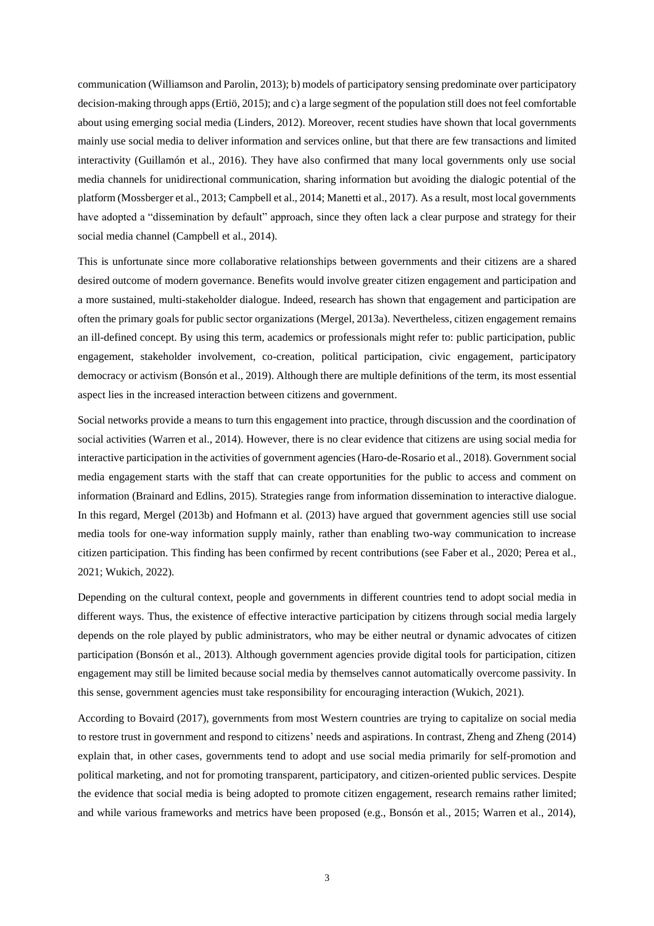communication (Williamson and Parolin, 2013); b) models of participatory sensing predominate over participatory decision-making through apps (Ertiö, 2015); and c) a large segment of the population still does not feel comfortable about using emerging social media (Linders, 2012). Moreover, recent studies have shown that local governments mainly use social media to deliver information and services online, but that there are few transactions and limited interactivity (Guillamón et al., 2016). They have also confirmed that many local governments only use social media channels for unidirectional communication, sharing information but avoiding the dialogic potential of the platform (Mossberger et al., 2013; Campbell et al., 2014; Manetti et al., 2017). As a result, most local governments have adopted a "dissemination by default" approach, since they often lack a clear purpose and strategy for their social media channel (Campbell et al., 2014).

This is unfortunate since more collaborative relationships between governments and their citizens are a shared desired outcome of modern governance. Benefits would involve greater citizen engagement and participation and a more sustained, multi-stakeholder dialogue. Indeed, research has shown that engagement and participation are often the primary goals for public sector organizations (Mergel, 2013a). Nevertheless, citizen engagement remains an ill-defined concept. By using this term, academics or professionals might refer to: public participation, public engagement, stakeholder involvement, co-creation, political participation, civic engagement, participatory democracy or activism (Bonsón et al., 2019). Although there are multiple definitions of the term, its most essential aspect lies in the increased interaction between citizens and government.

Social networks provide a means to turn this engagement into practice, through discussion and the coordination of social activities (Warren et al., 2014). However, there is no clear evidence that citizens are using social media for interactive participation in the activities of government agencies (Haro-de-Rosario et al., 2018). Government social media engagement starts with the staff that can create opportunities for the public to access and comment on information (Brainard and Edlins, 2015). Strategies range from information dissemination to interactive dialogue. In this regard, Mergel (2013b) and Hofmann et al. (2013) have argued that government agencies still use social media tools for one-way information supply mainly, rather than enabling two-way communication to increase citizen participation. This finding has been confirmed by recent contributions (see Faber et al., 2020; Perea et al., 2021; Wukich, 2022).

Depending on the cultural context, people and governments in different countries tend to adopt social media in different ways. Thus, the existence of effective interactive participation by citizens through social media largely depends on the role played by public administrators, who may be either neutral or dynamic advocates of citizen participation (Bonsón et al., 2013). Although government agencies provide digital tools for participation, citizen engagement may still be limited because social media by themselves cannot automatically overcome passivity. In this sense, government agencies must take responsibility for encouraging interaction (Wukich, 2021).

According to Bovaird (2017), governments from most Western countries are trying to capitalize on social media to restore trust in government and respond to citizens' needs and aspirations. In contrast, Zheng and Zheng (2014) explain that, in other cases, governments tend to adopt and use social media primarily for self-promotion and political marketing, and not for promoting transparent, participatory, and citizen-oriented public services. Despite the evidence that social media is being adopted to promote citizen engagement, research remains rather limited; and while various frameworks and metrics have been proposed (e.g., Bonsón et al., 2015; Warren et al., 2014),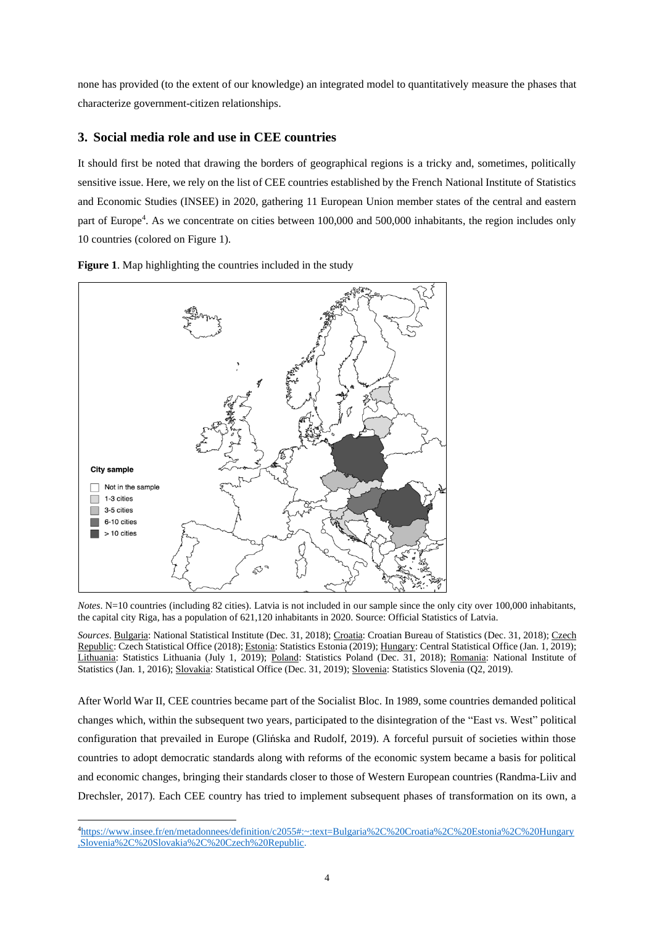none has provided (to the extent of our knowledge) an integrated model to quantitatively measure the phases that characterize government-citizen relationships.

# **3. Social media role and use in CEE countries**

It should first be noted that drawing the borders of geographical regions is a tricky and, sometimes, politically sensitive issue. Here, we rely on the list of CEE countries established by the French National Institute of Statistics and Economic Studies (INSEE) in 2020, gathering 11 European Union member states of the central and eastern part of Europe<sup>4</sup> . As we concentrate on cities between 100,000 and 500,000 inhabitants, the region includes only 10 countries (colored on Figure 1).



**Figure 1**. Map highlighting the countries included in the study

*Notes*. N=10 countries (including 82 cities). Latvia is not included in our sample since the only city over 100,000 inhabitants, the capital city Riga, has a population of 621,120 inhabitants in 2020. Source: Official Statistics of Latvia.

*Sources*. Bulgaria: National Statistical Institute (Dec. 31, 2018); Croatia: Croatian Bureau of Statistics (Dec. 31, 2018); Czech Republic: Czech Statistical Office (2018); Estonia: Statistics Estonia (2019); Hungary: Central Statistical Office (Jan. 1, 2019); Lithuania: Statistics Lithuania (July 1, 2019); Poland: Statistics Poland (Dec. 31, 2018); Romania: National Institute of Statistics (Jan. 1, 2016); Slovakia: Statistical Office (Dec. 31, 2019); Slovenia: Statistics Slovenia (Q2, 2019).

After World War II, CEE countries became part of the Socialist Bloc. In 1989, some countries demanded political changes which, within the subsequent two years, participated to the disintegration of the "East vs. West" political configuration that prevailed in Europe (Glińska and Rudolf, 2019). A forceful pursuit of societies within those countries to adopt democratic standards along with reforms of the economic system became a basis for political and economic changes, bringing their standards closer to those of Western European countries (Randma-Liiv and Drechsler, 2017). Each CEE country has tried to implement subsequent phases of transformation on its own, a

<sup>4</sup>[https://www.insee.fr/en/metadonnees/definition/c2055#:~:text=Bulgaria%2C%20Croatia%2C%20Estonia%2C%20Hungary](https://www.insee.fr/en/metadonnees/definition/c2055#:~:text=Bulgaria%2C%20Croatia%2C%20Estonia%2C%20Hungary,Slovenia%2C%20Slovakia%2C%20Czech%20Republic.) [,Slovenia%2C%20Slovakia%2C%20Czech%20Republic.](https://www.insee.fr/en/metadonnees/definition/c2055#:~:text=Bulgaria%2C%20Croatia%2C%20Estonia%2C%20Hungary,Slovenia%2C%20Slovakia%2C%20Czech%20Republic.)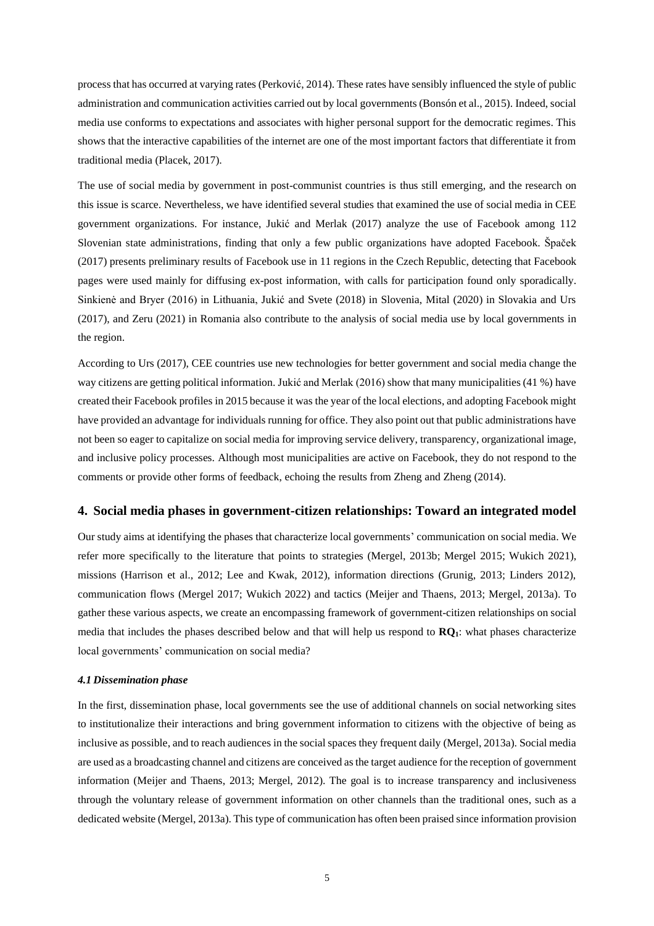process that has occurred at varying rates (Perković, 2014). These rates have sensibly influenced the style of public administration and communication activities carried out by local governments (Bonsón et al., 2015). Indeed, social media use conforms to expectations and associates with higher personal support for the democratic regimes. This shows that the interactive capabilities of the internet are one of the most important factors that differentiate it from traditional media (Placek, 2017).

The use of social media by government in post-communist countries is thus still emerging, and the research on this issue is scarce. Nevertheless, we have identified several studies that examined the use of social media in CEE government organizations. For instance, Jukić and Merlak (2017) analyze the use of Facebook among 112 Slovenian state administrations, finding that only a few public organizations have adopted Facebook. Špaček (2017) presents preliminary results of Facebook use in 11 regions in the Czech Republic, detecting that Facebook pages were used mainly for diffusing ex-post information, with calls for participation found only sporadically. Sinkienė and Bryer (2016) in Lithuania, Jukić and Svete (2018) in Slovenia, Mital (2020) in Slovakia and Urs (2017), and Zeru (2021) in Romania also contribute to the analysis of social media use by local governments in the region.

According to Urs (2017), CEE countries use new technologies for better government and social media change the way citizens are getting political information. Jukić and Merlak (2016) show that many municipalities (41 %) have created their Facebook profiles in 2015 because it was the year of the local elections, and adopting Facebook might have provided an advantage for individuals running for office. They also point out that public administrations have not been so eager to capitalize on social media for improving service delivery, transparency, organizational image, and inclusive policy processes. Although most municipalities are active on Facebook, they do not respond to the comments or provide other forms of feedback, echoing the results from Zheng and Zheng (2014).

## **4. Social media phases in government-citizen relationships: Toward an integrated model**

Our study aims at identifying the phases that characterize local governments' communication on social media. We refer more specifically to the literature that points to strategies (Mergel, 2013b; Mergel 2015; Wukich 2021), missions (Harrison et al., 2012; Lee and Kwak, 2012), information directions (Grunig, 2013; Linders 2012), communication flows (Mergel 2017; Wukich 2022) and tactics (Meijer and Thaens, 2013; Mergel, 2013a). To gather these various aspects, we create an encompassing framework of government-citizen relationships on social media that includes the phases described below and that will help us respond to **RQ1**: what phases characterize local governments' communication on social media?

## *4.1 Dissemination phase*

In the first, dissemination phase, local governments see the use of additional channels on social networking sites to institutionalize their interactions and bring government information to citizens with the objective of being as inclusive as possible, and to reach audiences in the social spaces they frequent daily (Mergel, 2013a). Social media are used as a broadcasting channel and citizens are conceived as the target audience for the reception of government information (Meijer and Thaens, 2013; Mergel, 2012). The goal is to increase transparency and inclusiveness through the voluntary release of government information on other channels than the traditional ones, such as a dedicated website (Mergel, 2013a). This type of communication has often been praised since information provision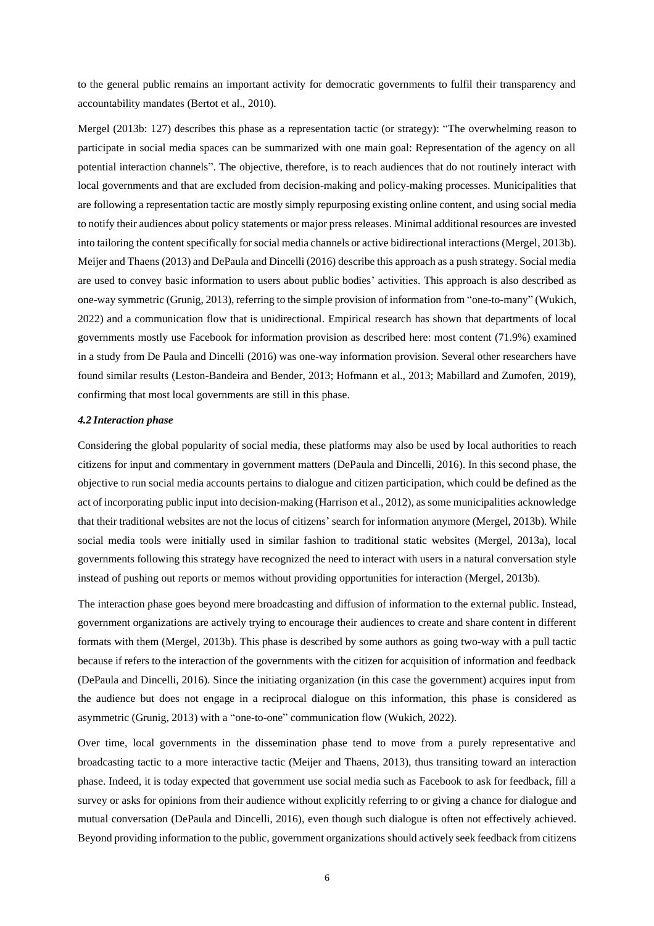to the general public remains an important activity for democratic governments to fulfil their transparency and accountability mandates (Bertot et al., 2010).

Mergel (2013b: 127) describes this phase as a representation tactic (or strategy): "The overwhelming reason to participate in social media spaces can be summarized with one main goal: Representation of the agency on all potential interaction channels". The objective, therefore, is to reach audiences that do not routinely interact with local governments and that are excluded from decision-making and policy-making processes. Municipalities that are following a representation tactic are mostly simply repurposing existing online content, and using social media to notify their audiences about policy statements or major press releases. Minimal additional resources are invested into tailoring the content specifically for social media channels or active bidirectional interactions (Mergel, 2013b). Meijer and Thaens (2013) and DePaula and Dincelli (2016) describe this approach as a push strategy. Social media are used to convey basic information to users about public bodies' activities. This approach is also described as one-way symmetric (Grunig, 2013), referring to the simple provision of information from "one-to-many" (Wukich, 2022) and a communication flow that is unidirectional. Empirical research has shown that departments of local governments mostly use Facebook for information provision as described here: most content (71.9%) examined in a study from De Paula and Dincelli (2016) was one-way information provision. Several other researchers have found similar results (Leston-Bandeira and Bender, 2013; Hofmann et al., 2013; Mabillard and Zumofen, 2019), confirming that most local governments are still in this phase.

### *4.2 Interaction phase*

Considering the global popularity of social media, these platforms may also be used by local authorities to reach citizens for input and commentary in government matters (DePaula and Dincelli, 2016). In this second phase, the objective to run social media accounts pertains to dialogue and citizen participation, which could be defined as the act of incorporating public input into decision-making (Harrison et al., 2012), as some municipalities acknowledge that their traditional websites are not the locus of citizens'search for information anymore (Mergel, 2013b). While social media tools were initially used in similar fashion to traditional static websites (Mergel, 2013a), local governments following this strategy have recognized the need to interact with users in a natural conversation style instead of pushing out reports or memos without providing opportunities for interaction (Mergel, 2013b).

The interaction phase goes beyond mere broadcasting and diffusion of information to the external public. Instead, government organizations are actively trying to encourage their audiences to create and share content in different formats with them (Mergel, 2013b). This phase is described by some authors as going two-way with a pull tactic because if refers to the interaction of the governments with the citizen for acquisition of information and feedback (DePaula and Dincelli, 2016). Since the initiating organization (in this case the government) acquires input from the audience but does not engage in a reciprocal dialogue on this information, this phase is considered as asymmetric (Grunig, 2013) with a "one-to-one" communication flow (Wukich, 2022).

Over time, local governments in the dissemination phase tend to move from a purely representative and broadcasting tactic to a more interactive tactic (Meijer and Thaens, 2013), thus transiting toward an interaction phase. Indeed, it is today expected that government use social media such as Facebook to ask for feedback, fill a survey or asks for opinions from their audience without explicitly referring to or giving a chance for dialogue and mutual conversation (DePaula and Dincelli, 2016), even though such dialogue is often not effectively achieved. Beyond providing information to the public, government organizations should actively seek feedback from citizens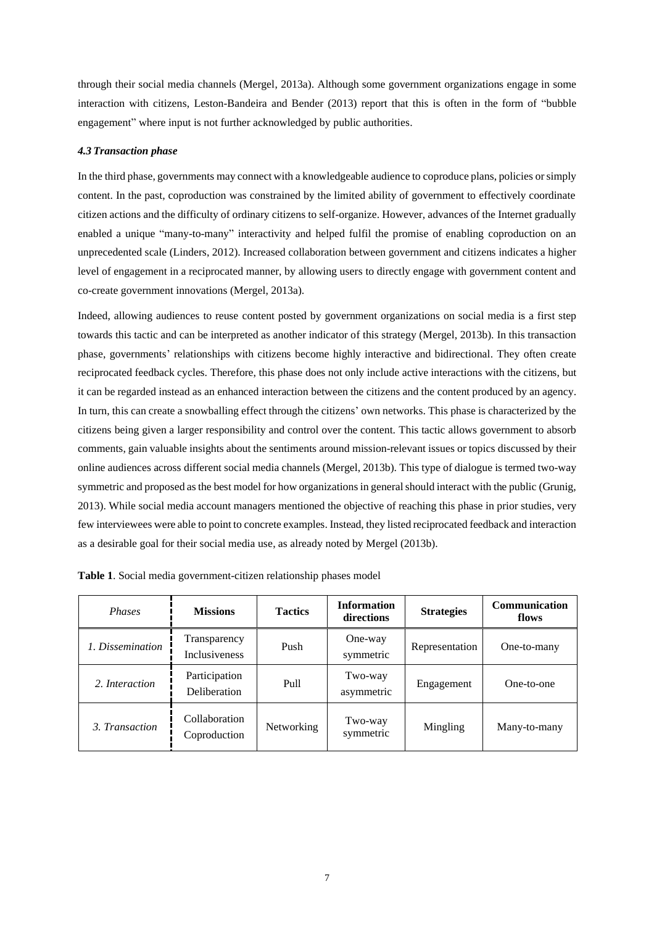through their social media channels (Mergel, 2013a). Although some government organizations engage in some interaction with citizens, Leston-Bandeira and Bender (2013) report that this is often in the form of "bubble engagement" where input is not further acknowledged by public authorities.

## *4.3 Transaction phase*

In the third phase, governments may connect with a knowledgeable audience to coproduce plans, policies or simply content. In the past, coproduction was constrained by the limited ability of government to effectively coordinate citizen actions and the difficulty of ordinary citizens to self-organize. However, advances of the Internet gradually enabled a unique "many-to-many" interactivity and helped fulfil the promise of enabling coproduction on an unprecedented scale (Linders, 2012). Increased collaboration between government and citizens indicates a higher level of engagement in a reciprocated manner, by allowing users to directly engage with government content and co-create government innovations (Mergel, 2013a).

Indeed, allowing audiences to reuse content posted by government organizations on social media is a first step towards this tactic and can be interpreted as another indicator of this strategy (Mergel, 2013b). In this transaction phase, governments' relationships with citizens become highly interactive and bidirectional. They often create reciprocated feedback cycles. Therefore, this phase does not only include active interactions with the citizens, but it can be regarded instead as an enhanced interaction between the citizens and the content produced by an agency. In turn, this can create a snowballing effect through the citizens' own networks. This phase is characterized by the citizens being given a larger responsibility and control over the content. This tactic allows government to absorb comments, gain valuable insights about the sentiments around mission-relevant issues or topics discussed by their online audiences across different social media channels (Mergel, 2013b). This type of dialogue is termed two-way symmetric and proposed as the best model for how organizations in general should interact with the public (Grunig, 2013). While social media account managers mentioned the objective of reaching this phase in prior studies, very few interviewees were able to point to concrete examples. Instead, they listed reciprocated feedback and interaction as a desirable goal for their social media use, as already noted by Mergel (2013b).

| <b>Phases</b>    | <b>Missions</b>                      | <b>Information</b><br><b>Tactics</b><br>directions |                       | <b>Strategies</b> | <b>Communication</b><br>flows |
|------------------|--------------------------------------|----------------------------------------------------|-----------------------|-------------------|-------------------------------|
| 1. Dissemination | Transparency<br><b>Inclusiveness</b> | Push                                               | One-way<br>symmetric  | Representation    | One-to-many                   |
| 2. Interaction   | Participation<br>Deliberation        | Pull                                               | Two-way<br>asymmetric | Engagement        | One-to-one                    |
| 3. Transaction   | Collaboration<br>Coproduction        | Networking                                         | Two-way<br>symmetric  | Mingling          | Many-to-many                  |

**Table 1**. Social media government-citizen relationship phases model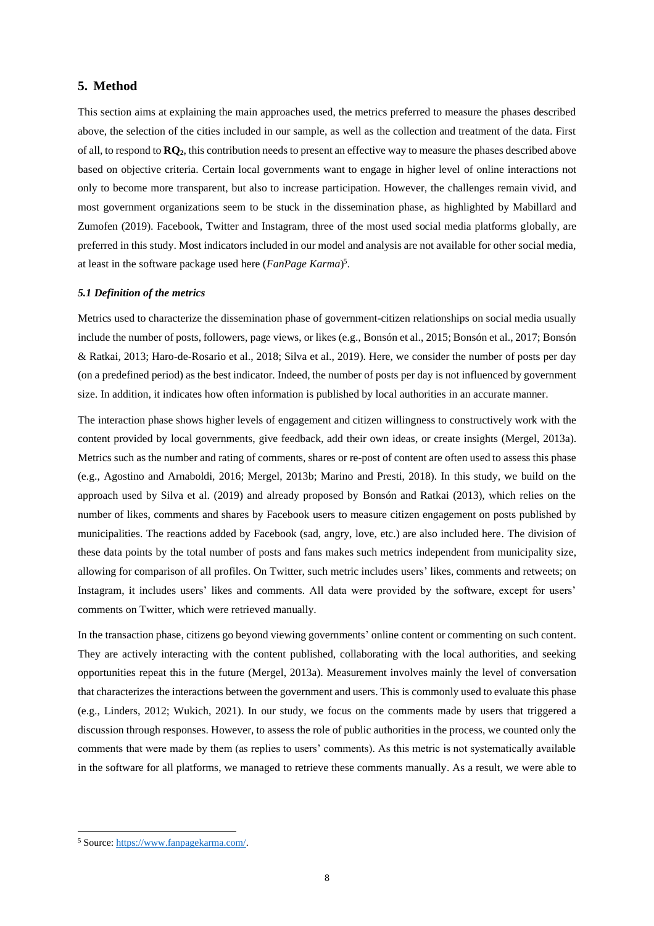## **5. Method**

This section aims at explaining the main approaches used, the metrics preferred to measure the phases described above, the selection of the cities included in our sample, as well as the collection and treatment of the data. First of all, to respond to **RQ2**, this contribution needs to present an effective way to measure the phases described above based on objective criteria. Certain local governments want to engage in higher level of online interactions not only to become more transparent, but also to increase participation. However, the challenges remain vivid, and most government organizations seem to be stuck in the dissemination phase, as highlighted by Mabillard and Zumofen (2019). Facebook, Twitter and Instagram, three of the most used social media platforms globally, are preferred in this study. Most indicators included in our model and analysis are not available for other social media, at least in the software package used here (*FanPage Karma*) 5 .

### *5.1 Definition of the metrics*

Metrics used to characterize the dissemination phase of government-citizen relationships on social media usually include the number of posts, followers, page views, or likes (e.g., Bonsón et al., 2015; Bonsón et al., 2017; Bonsón & Ratkai, 2013; Haro-de-Rosario et al., 2018; Silva et al., 2019). Here, we consider the number of posts per day (on a predefined period) as the best indicator. Indeed, the number of posts per day is not influenced by government size. In addition, it indicates how often information is published by local authorities in an accurate manner.

The interaction phase shows higher levels of engagement and citizen willingness to constructively work with the content provided by local governments, give feedback, add their own ideas, or create insights (Mergel, 2013a). Metrics such as the number and rating of comments, shares or re-post of content are often used to assess this phase (e.g., Agostino and Arnaboldi, 2016; Mergel, 2013b; Marino and Presti, 2018). In this study, we build on the approach used by Silva et al. (2019) and already proposed by Bonsón and Ratkai (2013), which relies on the number of likes, comments and shares by Facebook users to measure citizen engagement on posts published by municipalities. The reactions added by Facebook (sad, angry, love, etc.) are also included here. The division of these data points by the total number of posts and fans makes such metrics independent from municipality size, allowing for comparison of all profiles. On Twitter, such metric includes users' likes, comments and retweets; on Instagram, it includes users' likes and comments. All data were provided by the software, except for users' comments on Twitter, which were retrieved manually.

In the transaction phase, citizens go beyond viewing governments' online content or commenting on such content. They are actively interacting with the content published, collaborating with the local authorities, and seeking opportunities repeat this in the future (Mergel, 2013a). Measurement involves mainly the level of conversation that characterizes the interactions between the government and users. This is commonly used to evaluate this phase (e.g., Linders, 2012; Wukich, 2021). In our study, we focus on the comments made by users that triggered a discussion through responses. However, to assess the role of public authorities in the process, we counted only the comments that were made by them (as replies to users' comments). As this metric is not systematically available in the software for all platforms, we managed to retrieve these comments manually. As a result, we were able to

<sup>5</sup> Source: [https://www.fanpagekarma.com/.](https://www.fanpagekarma.com/)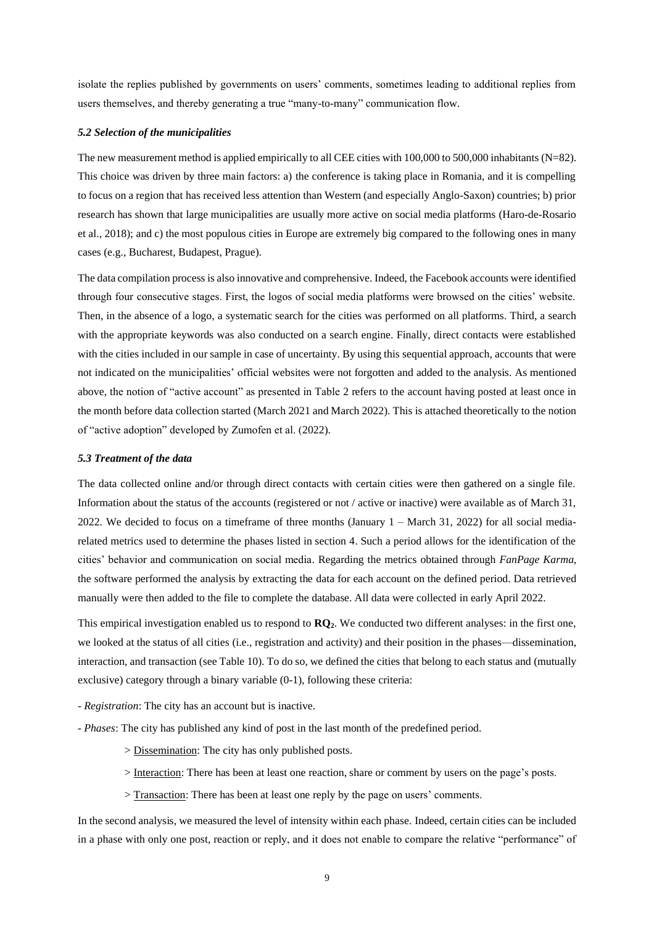isolate the replies published by governments on users' comments, sometimes leading to additional replies from users themselves, and thereby generating a true "many-to-many" communication flow.

#### *5.2 Selection of the municipalities*

The new measurement method is applied empirically to all CEE cities with 100,000 to 500,000 inhabitants (N=82). This choice was driven by three main factors: a) the conference is taking place in Romania, and it is compelling to focus on a region that has received less attention than Western (and especially Anglo-Saxon) countries; b) prior research has shown that large municipalities are usually more active on social media platforms (Haro-de-Rosario et al., 2018); and c) the most populous cities in Europe are extremely big compared to the following ones in many cases (e.g., Bucharest, Budapest, Prague).

The data compilation process is also innovative and comprehensive. Indeed, the Facebook accounts were identified through four consecutive stages. First, the logos of social media platforms were browsed on the cities' website. Then, in the absence of a logo, a systematic search for the cities was performed on all platforms. Third, a search with the appropriate keywords was also conducted on a search engine. Finally, direct contacts were established with the cities included in our sample in case of uncertainty. By using this sequential approach, accounts that were not indicated on the municipalities' official websites were not forgotten and added to the analysis. As mentioned above, the notion of "active account" as presented in Table 2 refers to the account having posted at least once in the month before data collection started (March 2021 and March 2022). This is attached theoretically to the notion of "active adoption" developed by Zumofen et al. (2022).

#### *5.3 Treatment of the data*

The data collected online and/or through direct contacts with certain cities were then gathered on a single file. Information about the status of the accounts (registered or not / active or inactive) were available as of March 31, 2022. We decided to focus on a timeframe of three months (January 1 – March 31, 2022) for all social mediarelated metrics used to determine the phases listed in section 4. Such a period allows for the identification of the cities' behavior and communication on social media. Regarding the metrics obtained through *FanPage Karma*, the software performed the analysis by extracting the data for each account on the defined period. Data retrieved manually were then added to the file to complete the database. All data were collected in early April 2022.

This empirical investigation enabled us to respond to **RQ2**. We conducted two different analyses: in the first one, we looked at the status of all cities (i.e., registration and activity) and their position in the phases—dissemination, interaction, and transaction (see Table 10). To do so, we defined the cities that belong to each status and (mutually exclusive) category through a binary variable (0-1), following these criteria:

- *Registration*: The city has an account but is inactive.
- *Phases*: The city has published any kind of post in the last month of the predefined period.
	- > Dissemination: The city has only published posts.
	- > Interaction: There has been at least one reaction, share or comment by users on the page's posts.
	- > Transaction: There has been at least one reply by the page on users' comments.

In the second analysis, we measured the level of intensity within each phase. Indeed, certain cities can be included in a phase with only one post, reaction or reply, and it does not enable to compare the relative "performance" of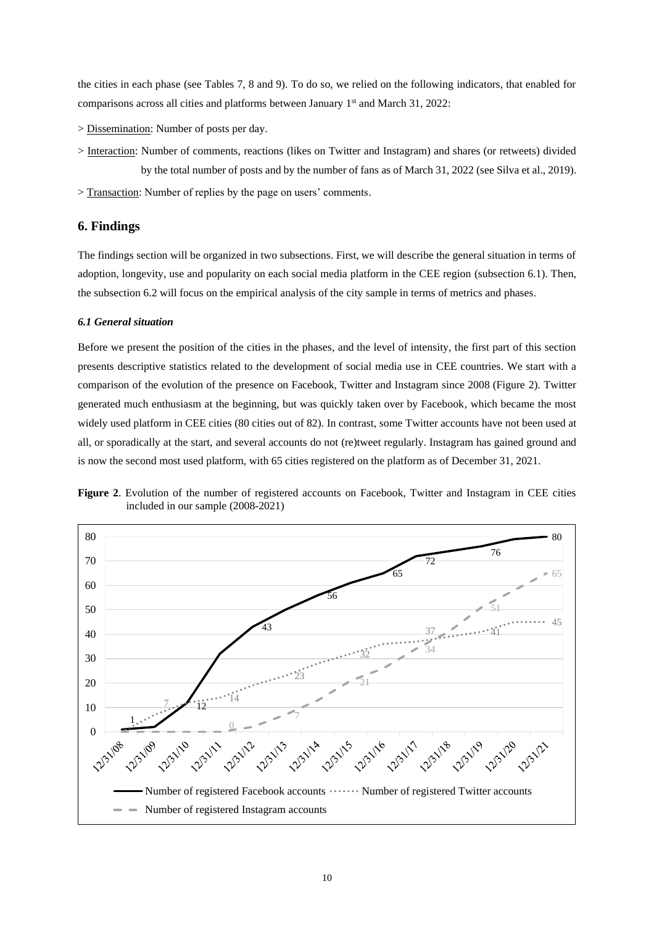the cities in each phase (see Tables 7, 8 and 9). To do so, we relied on the following indicators, that enabled for comparisons across all cities and platforms between January 1<sup>st</sup> and March 31, 2022:

- > Dissemination: Number of posts per day.
- > Interaction: Number of comments, reactions (likes on Twitter and Instagram) and shares (or retweets) divided by the total number of posts and by the number of fans as of March 31, 2022 (see Silva et al., 2019).
- > Transaction: Number of replies by the page on users' comments.

# **6. Findings**

The findings section will be organized in two subsections. First, we will describe the general situation in terms of adoption, longevity, use and popularity on each social media platform in the CEE region (subsection 6.1). Then, the subsection 6.2 will focus on the empirical analysis of the city sample in terms of metrics and phases.

## *6.1 General situation*

Before we present the position of the cities in the phases, and the level of intensity, the first part of this section presents descriptive statistics related to the development of social media use in CEE countries. We start with a comparison of the evolution of the presence on Facebook, Twitter and Instagram since 2008 (Figure 2). Twitter generated much enthusiasm at the beginning, but was quickly taken over by Facebook, which became the most widely used platform in CEE cities (80 cities out of 82). In contrast, some Twitter accounts have not been used at all, or sporadically at the start, and several accounts do not (re)tweet regularly. Instagram has gained ground and is now the second most used platform, with 65 cities registered on the platform as of December 31, 2021.



**Figure 2**. Evolution of the number of registered accounts on Facebook, Twitter and Instagram in CEE cities included in our sample (2008-2021)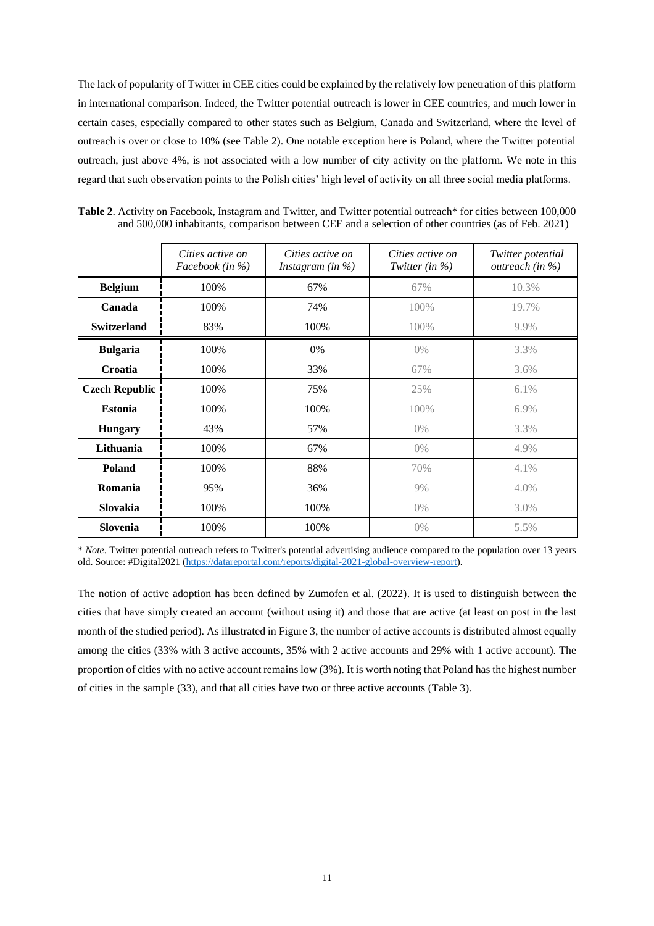The lack of popularity of Twitter in CEE cities could be explained by the relatively low penetration of this platform in international comparison. Indeed, the Twitter potential outreach is lower in CEE countries, and much lower in certain cases, especially compared to other states such as Belgium, Canada and Switzerland, where the level of outreach is over or close to 10% (see Table 2). One notable exception here is Poland, where the Twitter potential outreach, just above 4%, is not associated with a low number of city activity on the platform. We note in this regard that such observation points to the Polish cities' high level of activity on all three social media platforms.

|                       | Cities active on<br>Facebook (in %) | Cities active on<br>Instagram (in $\%$ ) | Cities active on<br>Twitter (in $\%$ ) | Twitter potential<br>outreach (in %) |
|-----------------------|-------------------------------------|------------------------------------------|----------------------------------------|--------------------------------------|
| <b>Belgium</b>        | 100%                                | 67%                                      | 67%                                    | 10.3%                                |
| Canada                | 100%                                | 74%                                      | 100%                                   | 19.7%                                |
| <b>Switzerland</b>    | 83%                                 | 100%                                     | 100%                                   | 9.9%                                 |
| <b>Bulgaria</b>       | 100%                                | 0%                                       | $0\%$                                  | 3.3%                                 |
| Croatia               | 100%                                | 33%                                      | 67%                                    | 3.6%                                 |
| <b>Czech Republic</b> | 100%                                | 75%                                      | 25%                                    | 6.1%                                 |
| <b>Estonia</b>        | 100%                                | 100%                                     | 100%                                   | 6.9%                                 |
| <b>Hungary</b>        | 43%                                 | 57%                                      | $0\%$                                  | 3.3%                                 |
| Lithuania             | 100%                                | 67%                                      | $0\%$                                  | 4.9%                                 |
| Poland                | 100%                                | 88%                                      | 70%                                    | 4.1%                                 |
| Romania               | 95%                                 | 36%                                      | 9%                                     | 4.0%                                 |
| Slovakia              | 100%                                | 100%                                     | $0\%$                                  | 3.0%                                 |
| Slovenia              | 100%                                | 100%                                     | $0\%$                                  | 5.5%                                 |

**Table 2.** Activity on Facebook, Instagram and Twitter, and Twitter potential outreach\* for cities between 100,000 and 500,000 inhabitants, comparison between CEE and a selection of other countries (as of Feb. 2021)

\* *Note*. Twitter potential outreach refers to Twitter's potential advertising audience compared to the population over 13 years old. Source: #Digital2021 [\(https://datareportal.com/reports/digital-2021-global-overview-report\)](https://datareportal.com/reports/digital-2021-global-overview-report).

The notion of active adoption has been defined by Zumofen et al. (2022). It is used to distinguish between the cities that have simply created an account (without using it) and those that are active (at least on post in the last month of the studied period). As illustrated in Figure 3, the number of active accounts is distributed almost equally among the cities (33% with 3 active accounts, 35% with 2 active accounts and 29% with 1 active account). The proportion of cities with no active account remains low (3%). It is worth noting thatPoland has the highest number of cities in the sample (33), and that all cities have two or three active accounts (Table 3).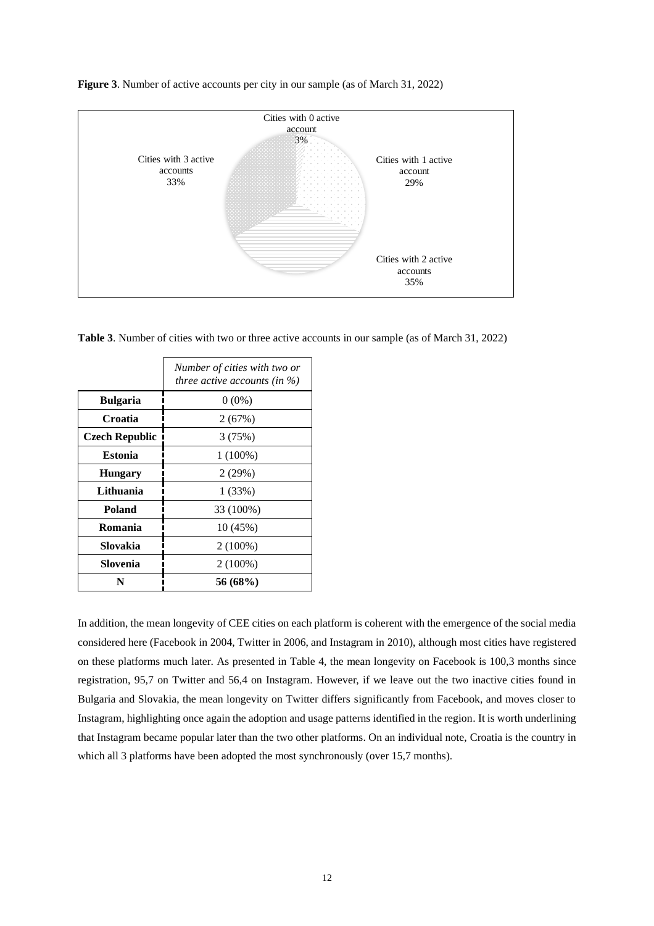

**Figure 3**. Number of active accounts per city in our sample (as of March 31, 2022)

**Table 3**. Number of cities with two or three active accounts in our sample (as of March 31, 2022)

|                       | Number of cities with two or<br>three active accounts (in $\%$ ) |
|-----------------------|------------------------------------------------------------------|
| <b>Bulgaria</b>       | $0(0\%)$                                                         |
| Croatia               | 2(67%)                                                           |
| <b>Czech Republic</b> | 3(75%)                                                           |
| <b>Estonia</b>        | $1(100\%)$                                                       |
| <b>Hungary</b>        | 2(29%)                                                           |
| Lithuania             | 1(33%)                                                           |
| Poland                | 33 (100%)                                                        |
| Romania               | 10 (45%)                                                         |
| Slovakia              | $2(100\%)$                                                       |
| Slovenia              | $2(100\%)$                                                       |
| N                     | 56 (68%)                                                         |

In addition, the mean longevity of CEE cities on each platform is coherent with the emergence of the social media considered here (Facebook in 2004, Twitter in 2006, and Instagram in 2010), although most cities have registered on these platforms much later. As presented in Table 4, the mean longevity on Facebook is 100,3 months since registration, 95,7 on Twitter and 56,4 on Instagram. However, if we leave out the two inactive cities found in Bulgaria and Slovakia, the mean longevity on Twitter differs significantly from Facebook, and moves closer to Instagram, highlighting once again the adoption and usage patterns identified in the region. It is worth underlining that Instagram became popular later than the two other platforms. On an individual note, Croatia is the country in which all 3 platforms have been adopted the most synchronously (over 15,7 months).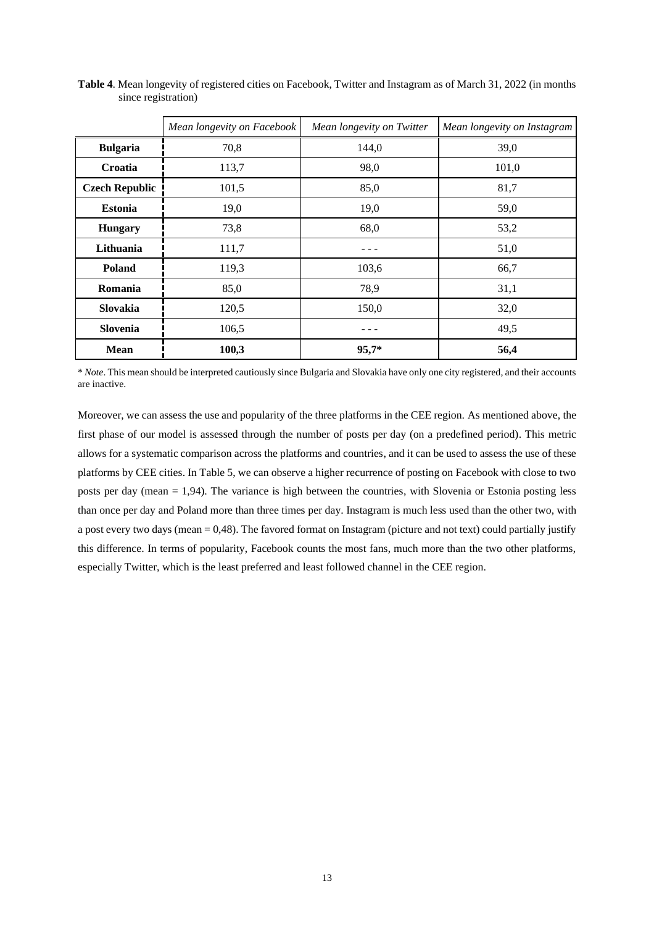|                       | Mean longevity on Facebook | Mean longevity on Twitter | Mean longevity on Instagram |
|-----------------------|----------------------------|---------------------------|-----------------------------|
| <b>Bulgaria</b>       | 70,8                       | 144,0                     | 39,0                        |
| Croatia               | 113,7                      | 98,0                      | 101,0                       |
| <b>Czech Republic</b> | 101,5                      | 85,0                      | 81,7                        |
| <b>Estonia</b>        | 19,0                       | 19,0                      | 59,0                        |
| <b>Hungary</b>        | 73,8                       | 68,0                      | 53,2                        |
| Lithuania             | 111,7                      |                           | 51,0                        |
| <b>Poland</b>         | 119,3                      | 103,6                     | 66,7                        |
| Romania               | 85,0                       | 78,9                      | 31,1                        |
| Slovakia              | 120,5                      | 150,0                     | 32,0                        |
| Slovenia              | 106,5                      |                           | 49,5                        |
| <b>Mean</b>           | 100,3                      | 95,7*                     | 56,4                        |

**Table 4**. Mean longevity of registered cities on Facebook, Twitter and Instagram as of March 31, 2022 (in months since registration)

\* *Note*. This mean should be interpreted cautiously since Bulgaria and Slovakia have only one city registered, and their accounts are inactive.

Moreover, we can assess the use and popularity of the three platforms in the CEE region. As mentioned above, the first phase of our model is assessed through the number of posts per day (on a predefined period). This metric allows for a systematic comparison across the platforms and countries, and it can be used to assess the use of these platforms by CEE cities. In Table 5, we can observe a higher recurrence of posting on Facebook with close to two posts per day (mean = 1,94). The variance is high between the countries, with Slovenia or Estonia posting less than once per day and Poland more than three times per day. Instagram is much less used than the other two, with a post every two days (mean = 0,48). The favored format on Instagram (picture and not text) could partially justify this difference. In terms of popularity, Facebook counts the most fans, much more than the two other platforms, especially Twitter, which is the least preferred and least followed channel in the CEE region.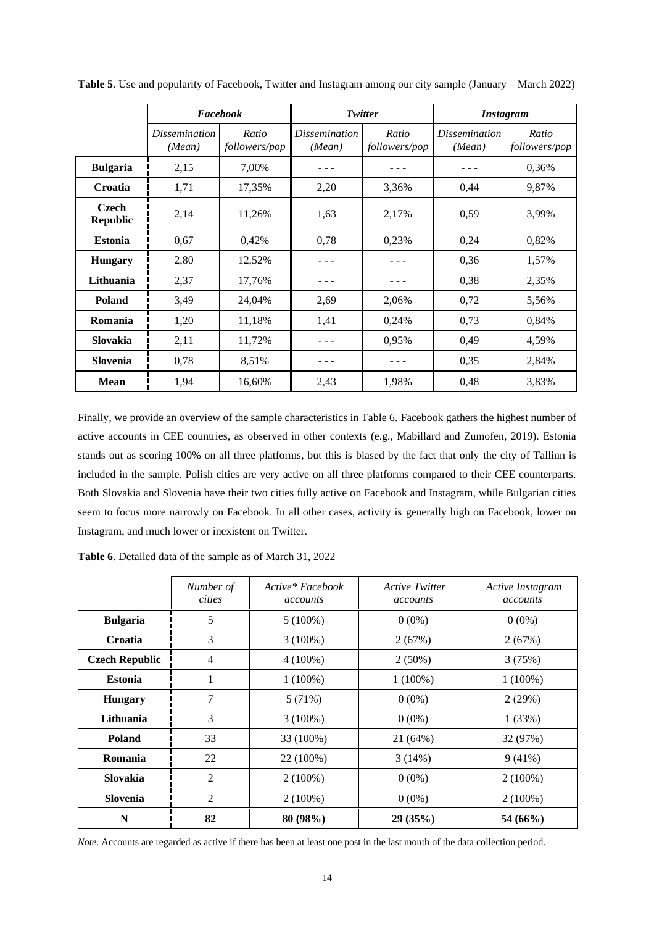|                          | Facebook                       |                        |                                | Twitter                | <i><b>Instagram</b></i>        |                        |  |
|--------------------------|--------------------------------|------------------------|--------------------------------|------------------------|--------------------------------|------------------------|--|
|                          | <i>Dissemination</i><br>(Mean) | Ratio<br>followers/pop | <i>Dissemination</i><br>(Mean) | Ratio<br>followers/pop | <i>Dissemination</i><br>(Mean) | Ratio<br>followers/pop |  |
| <b>Bulgaria</b>          | 2,15                           | 7,00%                  |                                |                        |                                | 0,36%                  |  |
| Croatia                  | 1,71                           | 17,35%                 | 2,20                           | 3,36%                  | 0,44                           | 9,87%                  |  |
| Czech<br><b>Republic</b> | 2,14                           | 11,26%                 | 1,63                           | 2,17%                  | 0,59                           | 3,99%                  |  |
| <b>Estonia</b>           | 0,67                           | 0,42%                  | 0,78                           | 0,23%                  | 0,24                           | 0,82%                  |  |
| <b>Hungary</b>           | 2,80                           | 12,52%                 |                                |                        | 0,36                           | 1,57%                  |  |
| Lithuania                | 2,37                           | 17,76%                 |                                |                        | 0,38                           | 2,35%                  |  |
| <b>Poland</b>            | 3,49                           | 24,04%                 | 2,69                           | 2,06%                  | 0,72                           | 5,56%                  |  |
| Romania                  | 1,20                           | 11,18%                 | 1,41                           | 0,24%                  | 0,73                           | 0,84%                  |  |
| <b>Slovakia</b>          | 2,11                           | 11,72%                 |                                | 0,95%                  | 0,49                           | 4,59%                  |  |
| <b>Slovenia</b>          | 0,78                           | 8,51%                  |                                |                        | 0,35                           | 2,84%                  |  |
| <b>Mean</b>              | 1,94                           | 16,60%                 | 2,43                           | 1,98%                  | 0,48                           | 3,83%                  |  |

**Table 5**. Use and popularity of Facebook, Twitter and Instagram among our city sample (January – March 2022)

Finally, we provide an overview of the sample characteristics in Table 6. Facebook gathers the highest number of active accounts in CEE countries, as observed in other contexts (e.g., Mabillard and Zumofen, 2019). Estonia stands out as scoring 100% on all three platforms, but this is biased by the fact that only the city of Tallinn is included in the sample. Polish cities are very active on all three platforms compared to their CEE counterparts. Both Slovakia and Slovenia have their two cities fully active on Facebook and Instagram, while Bulgarian cities seem to focus more narrowly on Facebook. In all other cases, activity is generally high on Facebook, lower on Instagram, and much lower or inexistent on Twitter.

**Table 6**. Detailed data of the sample as of March 31, 2022

|                       | Number of<br>cities | Active* Facebook<br>accounts | <b>Active Twitter</b><br>accounts | Active Instagram<br>accounts |
|-----------------------|---------------------|------------------------------|-----------------------------------|------------------------------|
| <b>Bulgaria</b>       | 5                   | $5(100\%)$                   | $0(0\%)$                          | $0(0\%)$                     |
| Croatia               | 3                   | $3(100\%)$                   | 2(67%)                            | 2(67%)                       |
| <b>Czech Republic</b> | $\overline{4}$      | $4(100\%)$                   | $2(50\%)$                         | 3(75%)                       |
| <b>Estonia</b>        |                     | $1(100\%)$                   | $1(100\%)$                        | $1(100\%)$                   |
| <b>Hungary</b>        | 7                   | 5(71%)                       | $0(0\%)$                          | 2(29%)                       |
| Lithuania             | 3                   | $3(100\%)$                   | $0(0\%)$                          | 1(33%)                       |
| <b>Poland</b>         | 33                  | 33 (100%)                    | 21 (64%)                          | 32 (97%)                     |
| Romania               | 22                  | 22 (100%)                    | 3(14%)                            | 9(41%)                       |
| <b>Slovakia</b>       | 2                   | $2(100\%)$                   | $0(0\%)$                          | $2(100\%)$                   |
| <b>Slovenia</b>       | 2                   | $2(100\%)$                   | $0(0\%)$                          | $2(100\%)$                   |
| N                     | 82                  | 80 (98%)                     | 29(35%)                           | 54 (66%)                     |

*Note*. Accounts are regarded as active if there has been at least one post in the last month of the data collection period.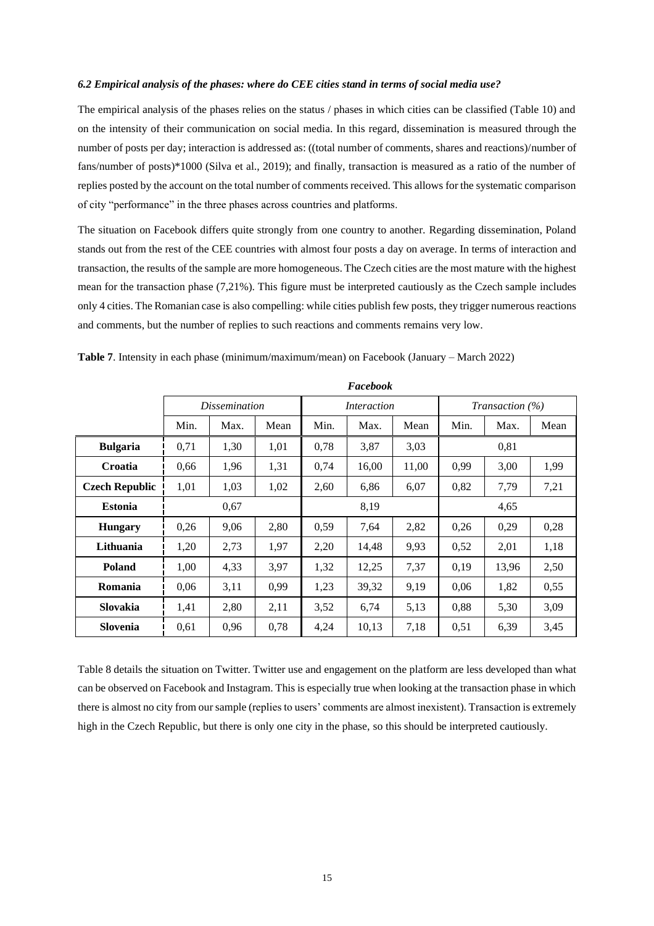### *6.2 Empirical analysis of the phases: where do CEE cities stand in terms of social media use?*

The empirical analysis of the phases relies on the status / phases in which cities can be classified (Table 10) and on the intensity of their communication on social media. In this regard, dissemination is measured through the number of posts per day; interaction is addressed as: ((total number of comments, shares and reactions)/number of fans/number of posts)\*1000 (Silva et al., 2019); and finally, transaction is measured as a ratio of the number of replies posted by the account on the total number of comments received. This allows for the systematic comparison of city "performance" in the three phases across countries and platforms.

The situation on Facebook differs quite strongly from one country to another. Regarding dissemination, Poland stands out from the rest of the CEE countries with almost four posts a day on average. In terms of interaction and transaction, the results of the sample are more homogeneous. The Czech cities are the most mature with the highest mean for the transaction phase (7,21%). This figure must be interpreted cautiously as the Czech sample includes only 4 cities. The Romanian case is also compelling: while cities publish few posts, they trigger numerous reactions and comments, but the number of replies to such reactions and comments remains very low.

|                       | Facebook |                      |      |                    |       |       |                        |       |      |
|-----------------------|----------|----------------------|------|--------------------|-------|-------|------------------------|-------|------|
|                       |          | <i>Dissemination</i> |      | <i>Interaction</i> |       |       | <i>Transaction</i> (%) |       |      |
|                       | Min.     | Max.                 | Mean | Min.               | Max.  | Mean  | Min.                   | Max.  | Mean |
| <b>Bulgaria</b>       | 0,71     | 1,30                 | 1,01 | 0,78               | 3,87  | 3,03  |                        | 0,81  |      |
| Croatia               | 0.66     | 1,96                 | 1,31 | 0,74               | 16,00 | 11,00 | 0,99                   | 3,00  | 1,99 |
| <b>Czech Republic</b> | 1,01     | 1,03                 | 1,02 | 2,60               | 6,86  | 6,07  | 0,82                   | 7,79  | 7,21 |
| <b>Estonia</b>        |          | 0,67                 |      |                    | 8,19  |       |                        | 4,65  |      |
| <b>Hungary</b>        | 0,26     | 9,06                 | 2,80 | 0,59               | 7,64  | 2,82  | 0,26                   | 0,29  | 0,28 |
| Lithuania             | 1,20     | 2,73                 | 1,97 | 2,20               | 14,48 | 9,93  | 0,52                   | 2,01  | 1,18 |
| <b>Poland</b>         | 1,00     | 4,33                 | 3,97 | 1,32               | 12,25 | 7,37  | 0,19                   | 13,96 | 2,50 |
| Romania               | 0,06     | 3,11                 | 0.99 | 1,23               | 39,32 | 9,19  | 0,06                   | 1,82  | 0,55 |
| Slovakia              | 1,41     | 2,80                 | 2,11 | 3,52               | 6,74  | 5,13  | 0,88                   | 5,30  | 3,09 |
| <b>Slovenia</b>       | 0,61     | 0,96                 | 0,78 | 4,24               | 10,13 | 7,18  | 0,51                   | 6,39  | 3,45 |

**Table 7**. Intensity in each phase (minimum/maximum/mean) on Facebook (January – March 2022)

Table 8 details the situation on Twitter. Twitter use and engagement on the platform are less developed than what can be observed on Facebook and Instagram. This is especially true when looking at the transaction phase in which there is almost no city from our sample (replies to users' comments are almost inexistent). Transaction is extremely high in the Czech Republic, but there is only one city in the phase, so this should be interpreted cautiously.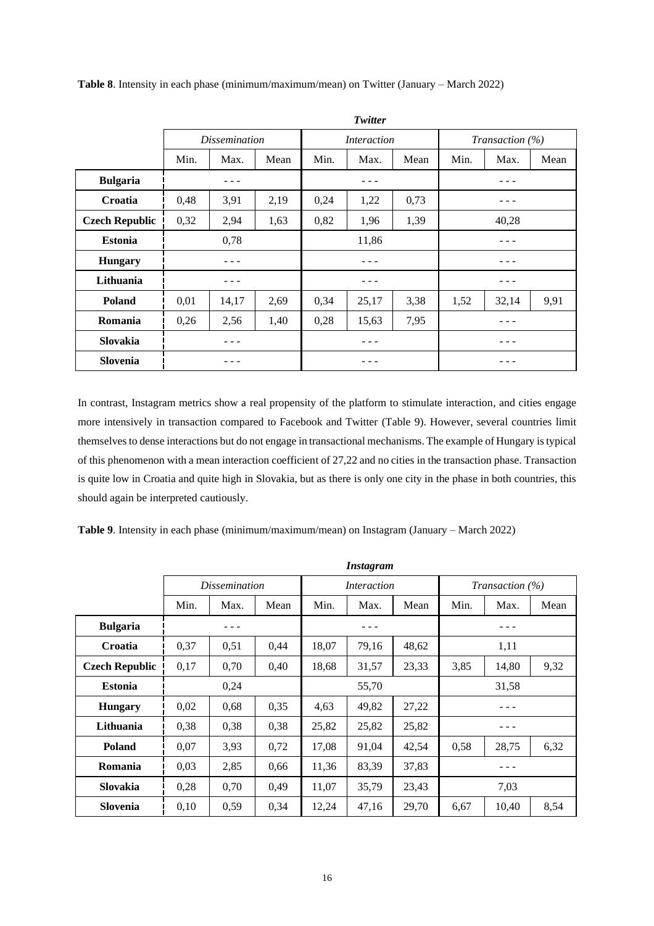|                       | Twitter |                      |      |                    |       |      |                    |       |      |  |
|-----------------------|---------|----------------------|------|--------------------|-------|------|--------------------|-------|------|--|
|                       |         | <i>Dissemination</i> |      | <i>Interaction</i> |       |      | Transaction $(\%)$ |       |      |  |
|                       | Min.    | Max.                 | Mean | Min.               | Max.  | Mean | Min.               | Max.  | Mean |  |
| <b>Bulgaria</b>       |         |                      |      |                    |       |      |                    |       |      |  |
| <b>Croatia</b>        | 0,48    | 3,91                 | 2,19 | 0,24               | 1,22  | 0,73 |                    |       |      |  |
| <b>Czech Republic</b> | 0,32    | 2,94                 | 1,63 | 0,82               | 1,96  | 1,39 | 40,28              |       |      |  |
| <b>Estonia</b>        | 0,78    |                      |      | 11,86              |       |      |                    |       |      |  |
| <b>Hungary</b>        |         |                      |      |                    |       |      |                    |       |      |  |
| Lithuania             |         |                      |      |                    |       |      |                    |       |      |  |
| <b>Poland</b>         | 0,01    | 14,17                | 2,69 | 0,34               | 25,17 | 3,38 | 1,52               | 32,14 | 9,91 |  |
| Romania               | 0,26    | 2,56                 | 1,40 | 0,28               | 15,63 | 7,95 |                    |       |      |  |
| Slovakia              |         |                      |      |                    |       |      |                    |       |      |  |
| <b>Slovenia</b>       |         |                      |      |                    |       |      |                    |       |      |  |

**Table 8**. Intensity in each phase (minimum/maximum/mean) on Twitter (January – March 2022)

In contrast, Instagram metrics show a real propensity of the platform to stimulate interaction, and cities engage more intensively in transaction compared to Facebook and Twitter (Table 9). However, several countries limit themselves to dense interactions but do not engage in transactional mechanisms. The example of Hungary is typical of this phenomenon with a mean interaction coefficient of 27,22 and no cities in the transaction phase. Transaction is quite low in Croatia and quite high in Slovakia, but as there is only one city in the phase in both countries, this should again be interpreted cautiously.

**Table 9**. Intensity in each phase (minimum/maximum/mean) on Instagram (January – March 2022)

|                       | Instagram |                      |      |             |       |       |                        |       |      |
|-----------------------|-----------|----------------------|------|-------------|-------|-------|------------------------|-------|------|
|                       |           | <i>Dissemination</i> |      | Interaction |       |       | <i>Transaction</i> (%) |       |      |
|                       | Min.      | Max.                 | Mean | Min.        | Max.  | Mean  | Min.                   | Max.  | Mean |
| <b>Bulgaria</b>       |           |                      |      |             |       |       |                        |       |      |
| Croatia               | 0,37      | 0,51                 | 0,44 | 18,07       | 79,16 | 48,62 |                        | 1,11  |      |
| <b>Czech Republic</b> | 0,17      | 0,70                 | 0,40 | 18,68       | 31,57 | 23,33 | 3,85                   | 14,80 | 9,32 |
| <b>Estonia</b>        | 0,24      |                      |      | 55,70       |       |       | 31,58                  |       |      |
| <b>Hungary</b>        | 0,02      | 0,68                 | 0,35 | 4,63        | 49,82 | 27,22 |                        |       |      |
| Lithuania             | 0,38      | 0,38                 | 0,38 | 25,82       | 25,82 | 25,82 |                        |       |      |
| <b>Poland</b>         | 0.07      | 3,93                 | 0,72 | 17,08       | 91,04 | 42,54 | 0,58                   | 28,75 | 6,32 |
| Romania               | 0,03      | 2,85                 | 0.66 | 11,36       | 83,39 | 37,83 |                        |       |      |
| Slovakia              | 0,28      | 0,70                 | 0,49 | 11,07       | 35,79 | 23,43 |                        | 7,03  |      |
| Slovenia              | 0,10      | 0,59                 | 0,34 | 12,24       | 47,16 | 29,70 | 6,67                   | 10,40 | 8,54 |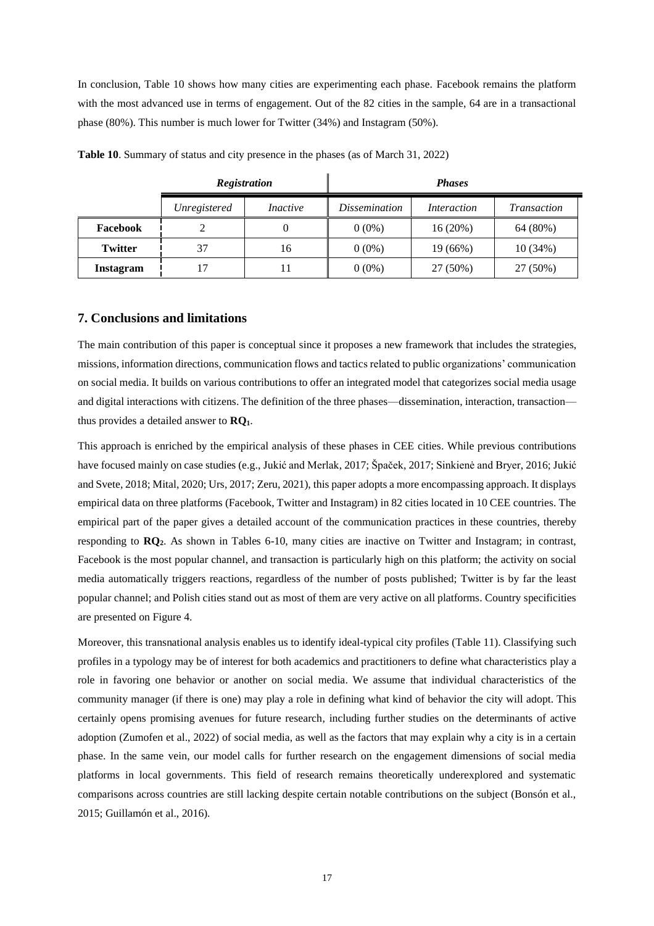In conclusion, Table 10 shows how many cities are experimenting each phase. Facebook remains the platform with the most advanced use in terms of engagement. Out of the 82 cities in the sample, 64 are in a transactional phase (80%). This number is much lower for Twitter (34%) and Instagram (50%).

|                |              | <b>Registration</b> | <b>Phases</b> |             |                    |  |  |
|----------------|--------------|---------------------|---------------|-------------|--------------------|--|--|
|                | Unregistered | <i>Inactive</i>     |               | Interaction | <b>Transaction</b> |  |  |
| Facebook       |              |                     | $0(0\%)$      | 16(20%)     | 64 (80%)           |  |  |
| <b>Twitter</b> | 37           | 16                  | $0(0\%)$      | 19 (66%)    | 10(34%)            |  |  |
| Instagram      |              |                     | $0(0\%)$      | 27 (50%)    | 27 (50%)           |  |  |

**Table 10**. Summary of status and city presence in the phases (as of March 31, 2022)

# **7. Conclusions and limitations**

The main contribution of this paper is conceptual since it proposes a new framework that includes the strategies, missions, information directions, communication flows and tactics related to public organizations' communication on social media. It builds on various contributions to offer an integrated model that categorizes social media usage and digital interactions with citizens. The definition of the three phases—dissemination, interaction, transaction thus provides a detailed answer to **RQ1**.

This approach is enriched by the empirical analysis of these phases in CEE cities. While previous contributions have focused mainly on case studies (e.g., Jukić and Merlak, 2017; Špaček, 2017; Sinkienė and Bryer, 2016; Jukić and Svete, 2018; Mital, 2020; Urs, 2017; Zeru, 2021), this paper adopts a more encompassing approach. It displays empirical data on three platforms (Facebook, Twitter and Instagram) in 82 cities located in 10 CEE countries. The empirical part of the paper gives a detailed account of the communication practices in these countries, thereby responding to **RQ2**. As shown in Tables 6-10, many cities are inactive on Twitter and Instagram; in contrast, Facebook is the most popular channel, and transaction is particularly high on this platform; the activity on social media automatically triggers reactions, regardless of the number of posts published; Twitter is by far the least popular channel; and Polish cities stand out as most of them are very active on all platforms. Country specificities are presented on Figure 4.

Moreover, this transnational analysis enables us to identify ideal-typical city profiles (Table 11). Classifying such profiles in a typology may be of interest for both academics and practitioners to define what characteristics play a role in favoring one behavior or another on social media. We assume that individual characteristics of the community manager (if there is one) may play a role in defining what kind of behavior the city will adopt. This certainly opens promising avenues for future research, including further studies on the determinants of active adoption (Zumofen et al., 2022) of social media, as well as the factors that may explain why a city is in a certain phase. In the same vein, our model calls for further research on the engagement dimensions of social media platforms in local governments. This field of research remains theoretically underexplored and systematic comparisons across countries are still lacking despite certain notable contributions on the subject (Bonsón et al., 2015; Guillamón et al., 2016).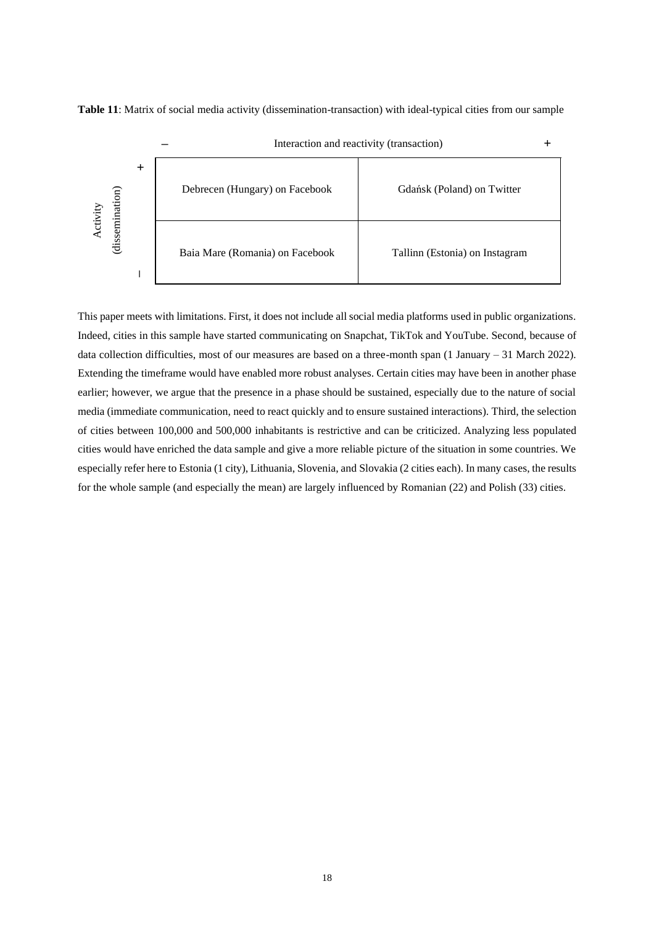



This paper meets with limitations. First, it does not include all social media platforms used in public organizations. Indeed, cities in this sample have started communicating on Snapchat, TikTok and YouTube. Second, because of data collection difficulties, most of our measures are based on a three-month span (1 January – 31 March 2022). Extending the timeframe would have enabled more robust analyses. Certain cities may have been in another phase earlier; however, we argue that the presence in a phase should be sustained, especially due to the nature of social media (immediate communication, need to react quickly and to ensure sustained interactions). Third, the selection of cities between 100,000 and 500,000 inhabitants is restrictive and can be criticized. Analyzing less populated cities would have enriched the data sample and give a more reliable picture of the situation in some countries. We especially refer here to Estonia (1 city), Lithuania, Slovenia, and Slovakia (2 cities each). In many cases, the results for the whole sample (and especially the mean) are largely influenced by Romanian (22) and Polish (33) cities.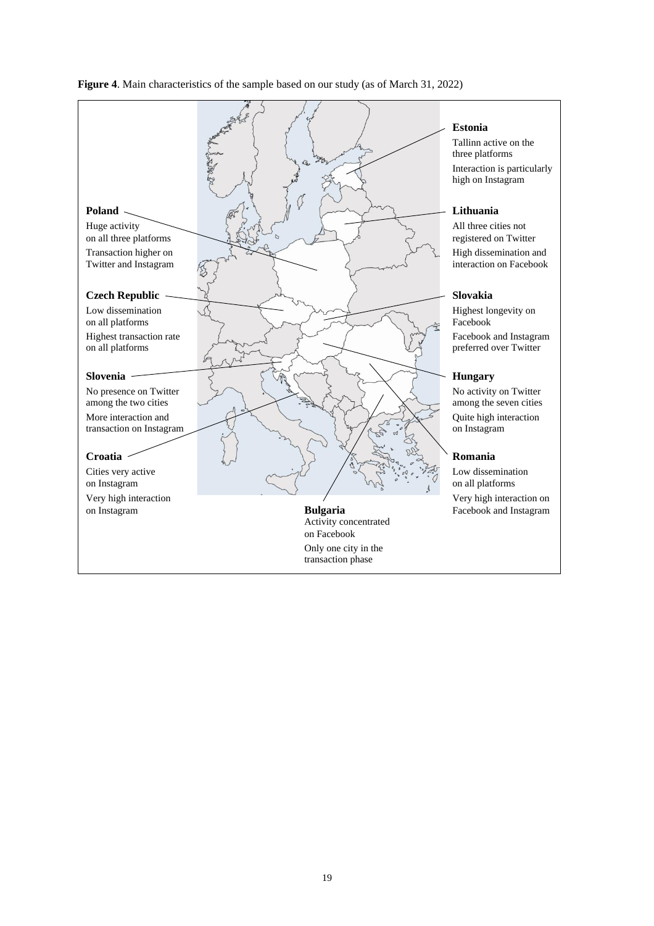

# **Figure 4**. Main characteristics of the sample based on our study (as of March 31, 2022)

## **Estonia**

Tallinn active on the three platforms Interaction is particularly high on Instagram

preferred over Twitter

among the seven cities Quite high interaction<br>on Instagram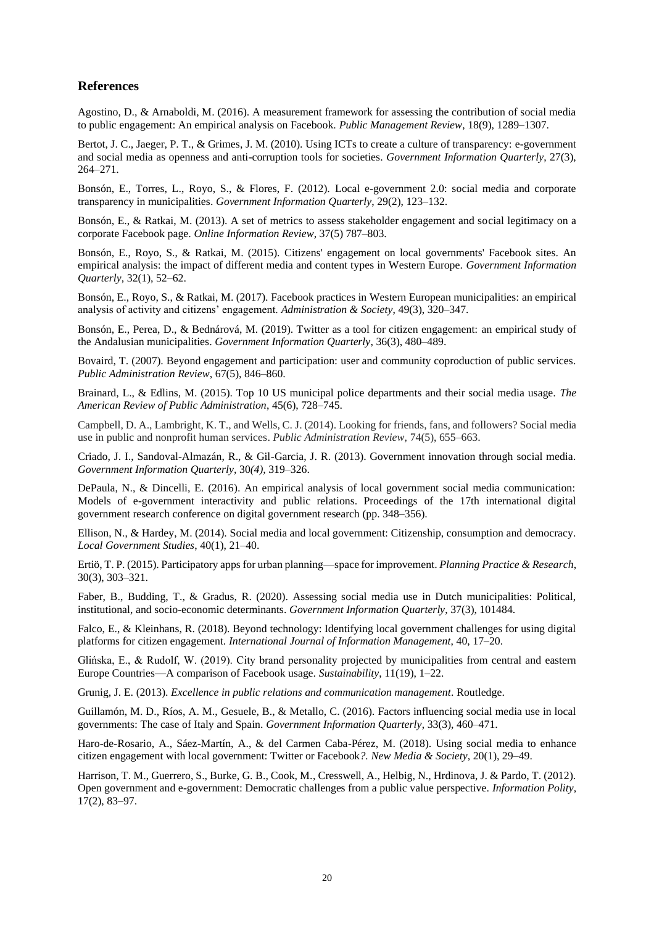# **References**

Agostino, D., & Arnaboldi, M. (2016). A measurement framework for assessing the contribution of social media to public engagement: An empirical analysis on Facebook. *Public Management Review*, 18(9), 1289–1307.

Bertot, J. C., Jaeger, P. T., & Grimes, J. M. (2010). Using ICTs to create a culture of transparency: e-government and social media as openness and anti-corruption tools for societies. *Government Information Quarterly*, 27(3), 264–271.

Bonsón, E., Torres, L., Royo, S., & Flores, F. (2012). Local e-government 2.0: social media and corporate transparency in municipalities. *Government Information Quarterly*, 29(2), 123–132.

Bonsón, E., & Ratkai, M. (2013). A set of metrics to assess stakeholder engagement and social legitimacy on a corporate Facebook page. *Online Information Review,* 37(5) 787–803.

Bonsón, E., Royo, S., & Ratkai, M. (2015). Citizens' engagement on local governments' Facebook sites. An empirical analysis: the impact of different media and content types in Western Europe. *Government Information Quarterly*, 32(1), 52–62.

Bonsón, E., Royo, S., & Ratkai, M. (2017). Facebook practices in Western European municipalities: an empirical analysis of activity and citizens' engagement. *Administration & Society*, 49(3), 320–347.

Bonsón, E., Perea, D., & Bednárová, M. (2019). Twitter as a tool for citizen engagement: an empirical study of the Andalusian municipalities. *Government Information Quarterly*, 36(3), 480–489.

Bovaird, T. (2007). Beyond engagement and participation: user and community coproduction of public services. *Public Administration Review*, 67(5), 846–860.

Brainard, L., & Edlins, M. (2015). Top 10 US municipal police departments and their social media usage. *The American Review of Public Administration*, 45(6), 728–745.

Campbell, D. A., Lambright, K. T., and Wells, C. J. (2014). Looking for friends, fans, and followers? Social media use in public and nonprofit human services. *Public Administration Review,* 74(5), 655–663.

Criado, J. I., Sandoval-Almazán, R., & Gil-Garcia, J. R. (2013). Government innovation through social media. *Government Information Quarterly,* 30*(4),* 319–326.

DePaula, N., & Dincelli, E. (2016). An empirical analysis of local government social media communication: Models of e-government interactivity and public relations. Proceedings of the 17th international digital government research conference on digital government research (pp. 348–356).

Ellison, N., & Hardey, M. (2014). Social media and local government: Citizenship, consumption and democracy. *Local Government Studies*, 40(1), 21–40.

Ertiö, T. P. (2015). Participatory apps for urban planning—space for improvement. *Planning Practice & Research*, 30(3), 303–321.

Faber, B., Budding, T., & Gradus, R. (2020). Assessing social media use in Dutch municipalities: Political, institutional, and socio-economic determinants. *Government Information Quarterly*, 37(3), 101484.

Falco, E., & Kleinhans, R. (2018). Beyond technology: Identifying local government challenges for using digital platforms for citizen engagement. *International Journal of Information Management*, 40, 17–20.

Glińska, E., & Rudolf, W. (2019). City brand personality projected by municipalities from central and eastern Europe Countries—A comparison of Facebook usage. *Sustainability*, 11(19), 1–22.

Grunig, J. E. (2013). *Excellence in public relations and communication management*. Routledge.

Guillamón, M. D., Ríos, A. M., Gesuele, B., & Metallo, C. (2016). Factors influencing social media use in local governments: The case of Italy and Spain. *Government Information Quarterly*, 33(3), 460–471.

Haro-de-Rosario, A., Sáez-Martín, A., & del Carmen Caba-Pérez, M. (2018). Using social media to enhance citizen engagement with local government: Twitter or Facebook*?. New Media & Society*, 20(1), 29–49.

Harrison, T. M., Guerrero, S., Burke, G. B., Cook, M., Cresswell, A., Helbig, N., Hrdinova, J. & Pardo, T. (2012). Open government and e-government: Democratic challenges from a public value perspective. *Information Polity*, 17(2), 83–97.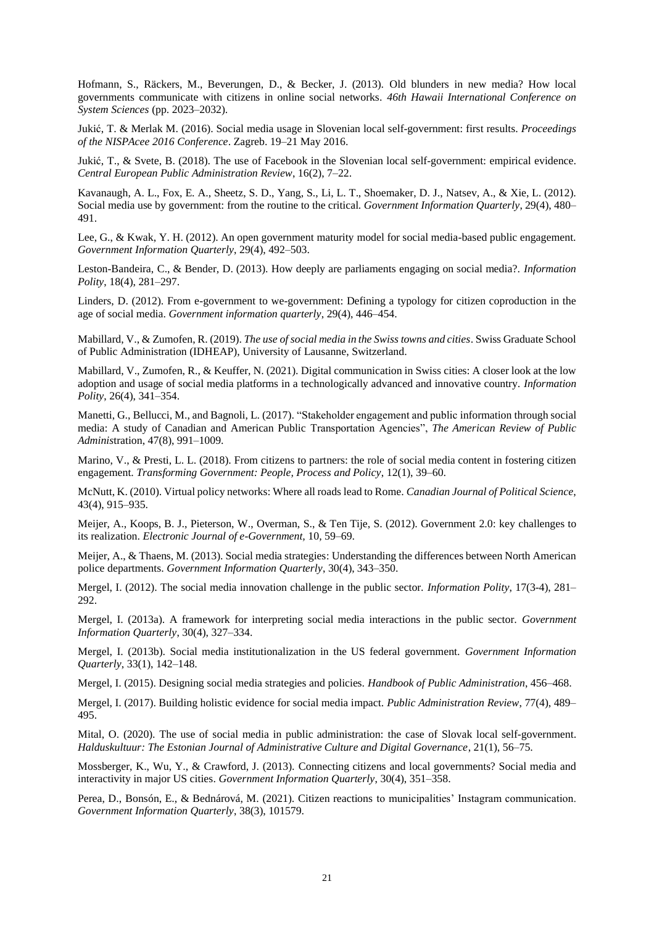Hofmann, S., Räckers, M., Beverungen, D., & Becker, J. (2013). Old blunders in new media? How local governments communicate with citizens in online social networks. *46th Hawaii International Conference on System Sciences* (pp. 2023–2032).

Jukić, T. & Merlak M. (2016). Social media usage in Slovenian local self-government: first results. *Proceedings of the NISPAcee 2016 Conference*. Zagreb. 19–21 May 2016.

Jukić, T., & Svete, B. (2018). The use of Facebook in the Slovenian local self-government: empirical evidence. *Central European Public Administration Review*, 16(2), 7–22.

Kavanaugh, A. L., Fox, E. A., Sheetz, S. D., Yang, S., Li, L. T., Shoemaker, D. J., Natsev, A., & Xie, L. (2012). Social media use by government: from the routine to the critical. *Government Information Quarterly*, 29(4), 480– 491.

Lee, G., & Kwak, Y. H. (2012). An open government maturity model for social media-based public engagement. *Government Information Quarterly*, 29(4), 492–503.

Leston-Bandeira, C., & Bender, D. (2013). How deeply are parliaments engaging on social media?. *Information Polity*, 18(4), 281–297.

Linders, D. (2012). From e-government to we-government: Defining a typology for citizen coproduction in the age of social media. *Government information quarterly*, 29(4), 446–454.

Mabillard, V., & Zumofen, R. (2019). *The use of social media in the Swiss towns and cities*. Swiss Graduate School of Public Administration (IDHEAP), University of Lausanne, Switzerland.

Mabillard, V., Zumofen, R., & Keuffer, N. (2021). Digital communication in Swiss cities: A closer look at the low adoption and usage of social media platforms in a technologically advanced and innovative country. *Information Polity*, 26(4), 341–354.

Manetti, G., Bellucci, M., and Bagnoli, L. (2017). "Stakeholder engagement and public information through social media: A study of Canadian and American Public Transportation Agencies", *The American Review of Public Adminis*tration, 47(8), 991–1009.

Marino, V., & Presti, L. L. (2018). From citizens to partners: the role of social media content in fostering citizen engagement. *Transforming Government: People, Process and Policy*, 12(1), 39–60.

McNutt, K. (2010). Virtual policy networks: Where all roads lead to Rome. *Canadian Journal of Political Science*, 43(4), 915–935.

Meijer, A., Koops, B. J., Pieterson, W., Overman, S., & Ten Tije, S. (2012). Government 2.0: key challenges to its realization. *Electronic Journal of e-Government,* 10*,* 59–69.

Meijer, A., & Thaens, M. (2013). Social media strategies: Understanding the differences between North American police departments. *Government Information Quarterly*, 30(4), 343–350.

Mergel, I. (2012). The social media innovation challenge in the public sector. *Information Polity*, 17(3-4), 281– 292.

Mergel, I. (2013a). A framework for interpreting social media interactions in the public sector. *Government Information Quarterly*, 30(4), 327–334.

Mergel, I. (2013b). Social media institutionalization in the US federal government. *Government Information Quarterly*, 33(1), 142–148.

Mergel, I. (2015). Designing social media strategies and policies. *Handbook of Public Administration*, 456–468.

Mergel, I. (2017). Building holistic evidence for social media impact. *Public Administration Review*, 77(4), 489– 495.

Mital, O. (2020). The use of social media in public administration: the case of Slovak local self-government. *Halduskultuur: The Estonian Journal of Administrative Culture and Digital Governance*, 21(1), 56–75.

Mossberger, K., Wu, Y., & Crawford, J. (2013). Connecting citizens and local governments? Social media and interactivity in major US cities. *Government Information Quarterly*, 30(4), 351–358.

Perea, D., Bonsón, E., & Bednárová, M. (2021). Citizen reactions to municipalities' Instagram communication. *Government Information Quarterly*, 38(3), 101579.